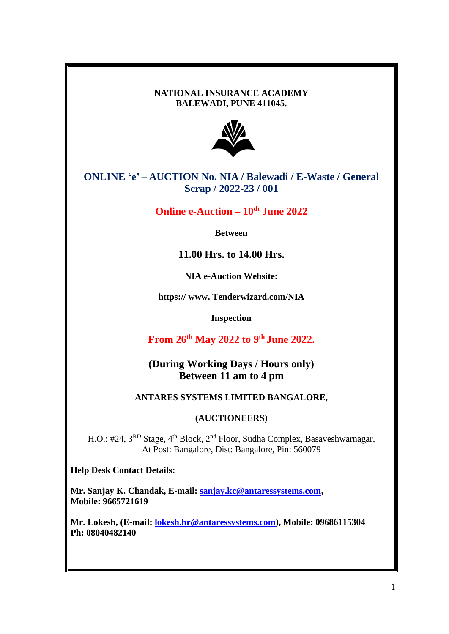### **NATIONAL INSURANCE ACADEMY BALEWADI, PUNE 411045.**



**ONLINE 'e' – AUCTION No. NIA / Balewadi / E-Waste / General Scrap / 2022-23 / 001**

**Online e-Auction – 10th June 2022**

**Between**

**11.00 Hrs. to 14.00 Hrs.**

**NIA e-Auction Website:**

**https:// www. Tenderwizard.com/NIA**

**Inspection** 

**From 26 th May 2022 to 9 th June 2022.**

**(During Working Days / Hours only) Between 11 am to 4 pm**

## **ANTARES SYSTEMS LIMITED BANGALORE,**

## **(AUCTIONEERS)**

H.O.: #24, 3<sup>RD</sup> Stage, 4<sup>th</sup> Block, 2<sup>nd</sup> Floor, Sudha Complex, Basaveshwarnagar, At Post: Bangalore, Dist: Bangalore, Pin: 560079

**Help Desk Contact Details:**

**Mr. Sanjay K. Chandak, E-mail: [sanjay.kc@antaressystems.com,](mailto:sanjay.kc@antaressystems.com) Mobile: 9665721619**

**Mr. Lokesh, (E-mail: [lokesh.hr@antaressystems.com\)](mailto:lokesh.hr@antaressystems.com), Mobile: 09686115304 Ph: 08040482140**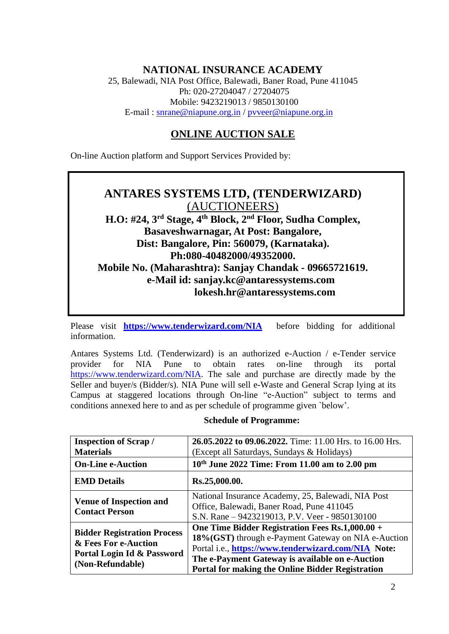# **NATIONAL INSURANCE ACADEMY**

25, Balewadi, NIA Post Office, Balewadi, Baner Road, Pune 411045 Ph: 020-27204047 / 27204075 Mobile: 9423219013 / 9850130100 E-mail : [snrane@niapune.org.in](mailto:snrane@niapune.org.in) / [pvveer@niapune.org.in](mailto:pvveer@niapune.org.in)

# **ONLINE AUCTION SALE**

On-line Auction platform and Support Services Provided by:

# **ANTARES SYSTEMS LTD, (TENDERWIZARD)** (AUCTIONEERS) **H.O: #24, 3 rd Stage, 4 th Block, 2 nd Floor, Sudha Complex, Basaveshwarnagar, At Post: Bangalore, Dist: Bangalore, Pin: 560079, (Karnataka). Ph:080-40482000/49352000. Mobile No. (Maharashtra): Sanjay Chandak - 09665721619. e-Mail id: sanjay.kc@antaressystems.com lokesh.hr@antaressystems.com**

Please visit **<https://www.tenderwizard.com/NIA>** before bidding for additional information.

Antares Systems Ltd. (Tenderwizard) is an authorized e-Auction / e-Tender service provider for NIA Pune to obtain rates on-line through its portal [https://www.tenderwizard.com/NIA.](https://www.tenderwizard.com/NIA) The sale and purchase are directly made by the Seller and buyer/s (Bidder/s). NIA Pune will sell e-Waste and General Scrap lying at its Campus at staggered locations through On-line "e-Auction" subject to terms and conditions annexed here to and as per schedule of programme given `below'.

#### **Schedule of Programme:**

| <b>Inspection of Scrap/</b><br><b>Materials</b>                                                              | 26.05.2022 to 09.06.2022. Time: 11.00 Hrs. to 16.00 Hrs.<br>(Except all Saturdays, Sundays & Holidays)                                                                                                                                                                       |  |
|--------------------------------------------------------------------------------------------------------------|------------------------------------------------------------------------------------------------------------------------------------------------------------------------------------------------------------------------------------------------------------------------------|--|
| <b>On-Line e-Auction</b>                                                                                     | $10^{th}$ June 2022 Time: From 11.00 am to 2.00 pm                                                                                                                                                                                                                           |  |
| <b>EMD Details</b>                                                                                           | Rs.25,000.00.                                                                                                                                                                                                                                                                |  |
| <b>Venue of Inspection and</b><br><b>Contact Person</b>                                                      | National Insurance Academy, 25, Balewadi, NIA Post<br>Office, Balewadi, Baner Road, Pune 411045<br>S.N. Rane – 9423219013, P.V. Veer - 9850130100                                                                                                                            |  |
| <b>Bidder Registration Process</b><br>& Fees For e-Auction<br>Portal Login Id & Password<br>(Non-Refundable) | One Time Bidder Registration Fees Rs.1,000.00 +<br>18% (GST) through e-Payment Gateway on NIA e-Auction<br>Portal i.e., https://www.tenderwizard.com/NIA Note:<br>The e-Payment Gateway is available on e-Auction<br><b>Portal for making the Online Bidder Registration</b> |  |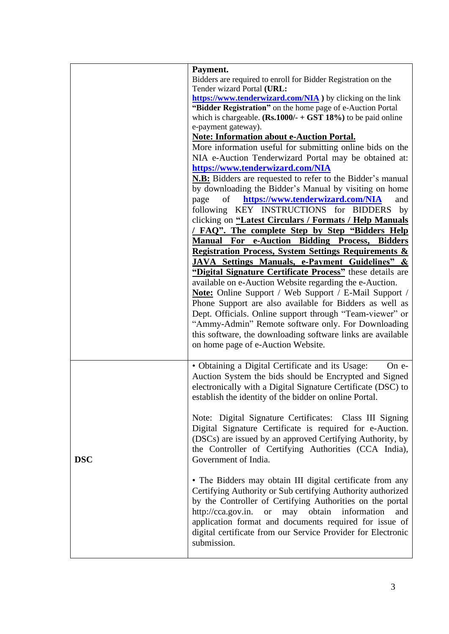|            | Payment.                                                                                                                                                                                   |  |  |  |  |
|------------|--------------------------------------------------------------------------------------------------------------------------------------------------------------------------------------------|--|--|--|--|
|            | Bidders are required to enroll for Bidder Registration on the                                                                                                                              |  |  |  |  |
|            | Tender wizard Portal (URL:                                                                                                                                                                 |  |  |  |  |
|            | https://www.tenderwizard.com/NIA ) by clicking on the link<br>"Bidder Registration" on the home page of e-Auction Portal<br>which is chargeable. $(Rs.1000/- + GST 18%)$ to be paid online |  |  |  |  |
|            |                                                                                                                                                                                            |  |  |  |  |
|            | e-payment gateway).                                                                                                                                                                        |  |  |  |  |
|            | <b>Note: Information about e-Auction Portal.</b>                                                                                                                                           |  |  |  |  |
|            | More information useful for submitting online bids on the                                                                                                                                  |  |  |  |  |
|            | NIA e-Auction Tenderwizard Portal may be obtained at:                                                                                                                                      |  |  |  |  |
|            | https://www.tenderwizard.com/NIA                                                                                                                                                           |  |  |  |  |
|            |                                                                                                                                                                                            |  |  |  |  |
|            | <b>N.B:</b> Bidders are requested to refer to the Bidder's manual<br>by downloading the Bidder's Manual by visiting on home<br>https://www.tenderwizard.com/NIA<br>of<br>and<br>page       |  |  |  |  |
|            |                                                                                                                                                                                            |  |  |  |  |
|            |                                                                                                                                                                                            |  |  |  |  |
|            | following KEY INSTRUCTIONS for BIDDERS<br>by                                                                                                                                               |  |  |  |  |
|            | clicking on "Latest Circulars / Formats / Help Manuals                                                                                                                                     |  |  |  |  |
|            | <b>FAQ".</b> The complete Step by Step "Bidders Help"                                                                                                                                      |  |  |  |  |
|            | <b>Manual For e-Auction Bidding Process, Bidders</b>                                                                                                                                       |  |  |  |  |
|            | <b>Registration Process, System Settings Requirements &amp;</b>                                                                                                                            |  |  |  |  |
|            | JAVA Settings Manuals, e-Payment Guidelines" &                                                                                                                                             |  |  |  |  |
|            | "Digital Signature Certificate Process" these details are                                                                                                                                  |  |  |  |  |
|            | available on e-Auction Website regarding the e-Auction.                                                                                                                                    |  |  |  |  |
|            | <b>Note:</b> Online Support / Web Support / E-Mail Support /                                                                                                                               |  |  |  |  |
|            | Phone Support are also available for Bidders as well as                                                                                                                                    |  |  |  |  |
|            | Dept. Officials. Online support through "Team-viewer" or                                                                                                                                   |  |  |  |  |
|            | "Ammy-Admin" Remote software only. For Downloading                                                                                                                                         |  |  |  |  |
|            | this software, the downloading software links are available                                                                                                                                |  |  |  |  |
|            | on home page of e-Auction Website.                                                                                                                                                         |  |  |  |  |
|            |                                                                                                                                                                                            |  |  |  |  |
|            | · Obtaining a Digital Certificate and its Usage:<br>On e-                                                                                                                                  |  |  |  |  |
|            | Auction System the bids should be Encrypted and Signed                                                                                                                                     |  |  |  |  |
|            | electronically with a Digital Signature Certificate (DSC) to                                                                                                                               |  |  |  |  |
|            | establish the identity of the bidder on online Portal.                                                                                                                                     |  |  |  |  |
|            |                                                                                                                                                                                            |  |  |  |  |
|            | Note: Digital Signature Certificates: Class III Signing                                                                                                                                    |  |  |  |  |
|            | Digital Signature Certificate is required for e-Auction.                                                                                                                                   |  |  |  |  |
|            | (DSCs) are issued by an approved Certifying Authority, by                                                                                                                                  |  |  |  |  |
|            | the Controller of Certifying Authorities (CCA India),                                                                                                                                      |  |  |  |  |
| <b>DSC</b> | Government of India.                                                                                                                                                                       |  |  |  |  |
|            |                                                                                                                                                                                            |  |  |  |  |
|            | • The Bidders may obtain III digital certificate from any                                                                                                                                  |  |  |  |  |
|            | Certifying Authority or Sub certifying Authority authorized                                                                                                                                |  |  |  |  |
|            | by the Controller of Certifying Authorities on the portal                                                                                                                                  |  |  |  |  |
|            | http://cca.gov.in.<br>obtain<br>information<br><b>or</b><br>may<br>and                                                                                                                     |  |  |  |  |
|            | application format and documents required for issue of                                                                                                                                     |  |  |  |  |
|            | digital certificate from our Service Provider for Electronic                                                                                                                               |  |  |  |  |
|            | submission.                                                                                                                                                                                |  |  |  |  |
|            |                                                                                                                                                                                            |  |  |  |  |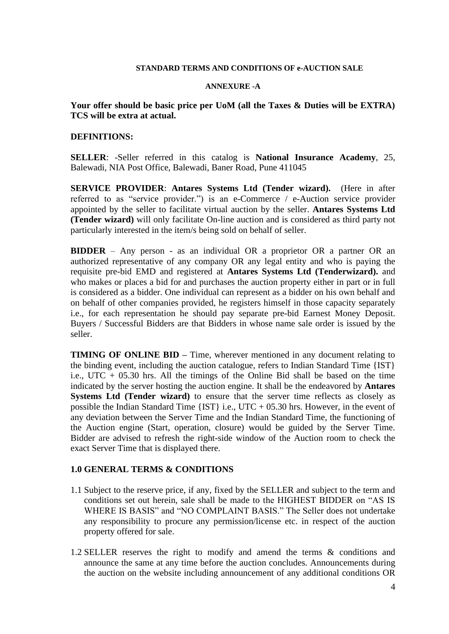#### **STANDARD TERMS AND CONDITIONS OF e-AUCTION SALE**

#### **ANNEXURE -A**

#### **Your offer should be basic price per UoM (all the Taxes & Duties will be EXTRA) TCS will be extra at actual.**

#### **DEFINITIONS:**

**SELLER**: -Seller referred in this catalog is **National Insurance Academy**, 25, Balewadi, NIA Post Office, Balewadi, Baner Road, Pune 411045

**SERVICE PROVIDER**: **Antares Systems Ltd (Tender wizard).** (Here in after referred to as "service provider.") is an e-Commerce / e-Auction service provider appointed by the seller to facilitate virtual auction by the seller. **Antares Systems Ltd (Tender wizard)** will only facilitate On-line auction and is considered as third party not particularly interested in the item/s being sold on behalf of seller.

**BIDDER** – Any person - as an individual OR a proprietor OR a partner OR an authorized representative of any company OR any legal entity and who is paying the requisite pre-bid EMD and registered at **Antares Systems Ltd (Tenderwizard).** and who makes or places a bid for and purchases the auction property either in part or in full is considered as a bidder. One individual can represent as a bidder on his own behalf and on behalf of other companies provided, he registers himself in those capacity separately i.e., for each representation he should pay separate pre-bid Earnest Money Deposit. Buyers / Successful Bidders are that Bidders in whose name sale order is issued by the seller.

**TIMING OF ONLINE BID –** Time, wherever mentioned in any document relating to the binding event, including the auction catalogue, refers to Indian Standard Time {IST} i.e., UTC  $+$  05.30 hrs. All the timings of the Online Bid shall be based on the time indicated by the server hosting the auction engine. It shall be the endeavored by **Antares Systems Ltd (Tender wizard)** to ensure that the server time reflects as closely as possible the Indian Standard Time  $\{IST\}$  i.e., UTC + 05.30 hrs. However, in the event of any deviation between the Server Time and the Indian Standard Time, the functioning of the Auction engine (Start, operation, closure) would be guided by the Server Time. Bidder are advised to refresh the right-side window of the Auction room to check the exact Server Time that is displayed there.

#### **1.0 GENERAL TERMS & CONDITIONS**

- 1.1 Subject to the reserve price, if any, fixed by the SELLER and subject to the term and conditions set out herein, sale shall be made to the HIGHEST BIDDER on "AS IS WHERE IS BASIS" and "NO COMPLAINT BASIS." The Seller does not undertake any responsibility to procure any permission/license etc. in respect of the auction property offered for sale.
- 1.2 SELLER reserves the right to modify and amend the terms & conditions and announce the same at any time before the auction concludes. Announcements during the auction on the website including announcement of any additional conditions OR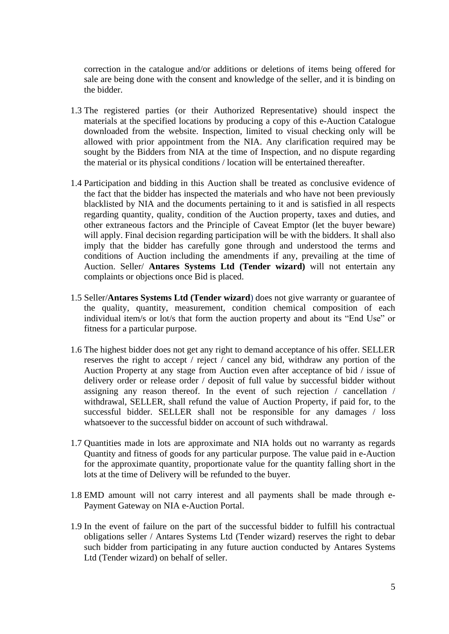correction in the catalogue and/or additions or deletions of items being offered for sale are being done with the consent and knowledge of the seller, and it is binding on the bidder.

- 1.3 The registered parties (or their Authorized Representative) should inspect the materials at the specified locations by producing a copy of this e-Auction Catalogue downloaded from the website. Inspection, limited to visual checking only will be allowed with prior appointment from the NIA. Any clarification required may be sought by the Bidders from NIA at the time of Inspection, and no dispute regarding the material or its physical conditions / location will be entertained thereafter.
- 1.4 Participation and bidding in this Auction shall be treated as conclusive evidence of the fact that the bidder has inspected the materials and who have not been previously blacklisted by NIA and the documents pertaining to it and is satisfied in all respects regarding quantity, quality, condition of the Auction property, taxes and duties, and other extraneous factors and the Principle of Caveat Emptor (let the buyer beware) will apply. Final decision regarding participation will be with the bidders. It shall also imply that the bidder has carefully gone through and understood the terms and conditions of Auction including the amendments if any, prevailing at the time of Auction. Seller/ **Antares Systems Ltd (Tender wizard)** will not entertain any complaints or objections once Bid is placed.
- 1.5 Seller/**Antares Systems Ltd (Tender wizard**) does not give warranty or guarantee of the quality, quantity, measurement, condition chemical composition of each individual item/s or lot/s that form the auction property and about its "End Use" or fitness for a particular purpose.
- 1.6 The highest bidder does not get any right to demand acceptance of his offer. SELLER reserves the right to accept / reject / cancel any bid, withdraw any portion of the Auction Property at any stage from Auction even after acceptance of bid / issue of delivery order or release order / deposit of full value by successful bidder without assigning any reason thereof. In the event of such rejection / cancellation / withdrawal, SELLER, shall refund the value of Auction Property, if paid for, to the successful bidder. SELLER shall not be responsible for any damages / loss whatsoever to the successful bidder on account of such withdrawal.
- 1.7 Quantities made in lots are approximate and NIA holds out no warranty as regards Quantity and fitness of goods for any particular purpose. The value paid in e-Auction for the approximate quantity, proportionate value for the quantity falling short in the lots at the time of Delivery will be refunded to the buyer.
- 1.8 EMD amount will not carry interest and all payments shall be made through e-Payment Gateway on NIA e-Auction Portal.
- 1.9 In the event of failure on the part of the successful bidder to fulfill his contractual obligations seller / Antares Systems Ltd (Tender wizard) reserves the right to debar such bidder from participating in any future auction conducted by Antares Systems Ltd (Tender wizard) on behalf of seller.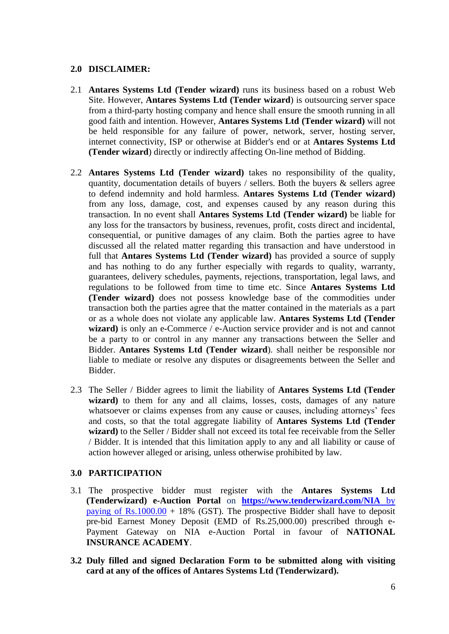### **2.0 DISCLAIMER:**

- 2.1 **Antares Systems Ltd (Tender wizard)** runs its business based on a robust Web Site. However, **Antares Systems Ltd (Tender wizard**) is outsourcing server space from a third-party hosting company and hence shall ensure the smooth running in all good faith and intention. However, **Antares Systems Ltd (Tender wizard)** will not be held responsible for any failure of power, network, server, hosting server, internet connectivity, ISP or otherwise at Bidder's end or at **Antares Systems Ltd (Tender wizard**) directly or indirectly affecting On-line method of Bidding.
- 2.2 **Antares Systems Ltd (Tender wizard)** takes no responsibility of the quality, quantity, documentation details of buyers / sellers. Both the buyers & sellers agree to defend indemnity and hold harmless. **Antares Systems Ltd (Tender wizard)** from any loss, damage, cost, and expenses caused by any reason during this transaction. In no event shall **Antares Systems Ltd (Tender wizard)** be liable for any loss for the transactors by business, revenues, profit, costs direct and incidental, consequential, or punitive damages of any claim. Both the parties agree to have discussed all the related matter regarding this transaction and have understood in full that **Antares Systems Ltd (Tender wizard)** has provided a source of supply and has nothing to do any further especially with regards to quality, warranty, guarantees, delivery schedules, payments, rejections, transportation, legal laws, and regulations to be followed from time to time etc. Since **Antares Systems Ltd (Tender wizard)** does not possess knowledge base of the commodities under transaction both the parties agree that the matter contained in the materials as a part or as a whole does not violate any applicable law. **Antares Systems Ltd (Tender** wizard) is only an e-Commerce / e-Auction service provider and is not and cannot be a party to or control in any manner any transactions between the Seller and Bidder. **Antares Systems Ltd (Tender wizard**). shall neither be responsible nor liable to mediate or resolve any disputes or disagreements between the Seller and Bidder.
- 2.3 The Seller / Bidder agrees to limit the liability of **Antares Systems Ltd (Tender** wizard) to them for any and all claims, losses, costs, damages of any nature whatsoever or claims expenses from any cause or causes, including attorneys' fees and costs, so that the total aggregate liability of **Antares Systems Ltd (Tender wizard)** to the Seller / Bidder shall not exceed its total fee receivable from the Seller / Bidder. It is intended that this limitation apply to any and all liability or cause of action however alleged or arising, unless otherwise prohibited by law.

#### **3.0 PARTICIPATION**

- 3.1 The prospective bidder must register with the **Antares Systems Ltd (Tenderwizard) e-Auction Portal** on **[https://www.tenderwizard.com/NIA](https://www.tenderwizard.com/NIA%20by%20paying%20of%20Rs.1000.00)** by paying of  $Rs.1000.00 + 18\%$  (GST). The prospective Bidder shall have to deposit pre-bid Earnest Money Deposit (EMD of Rs.25,000.00) prescribed through e-Payment Gateway on NIA e-Auction Portal in favour of **NATIONAL INSURANCE ACADEMY**.
- **3.2 Duly filled and signed Declaration Form to be submitted along with visiting card at any of the offices of Antares Systems Ltd (Tenderwizard).**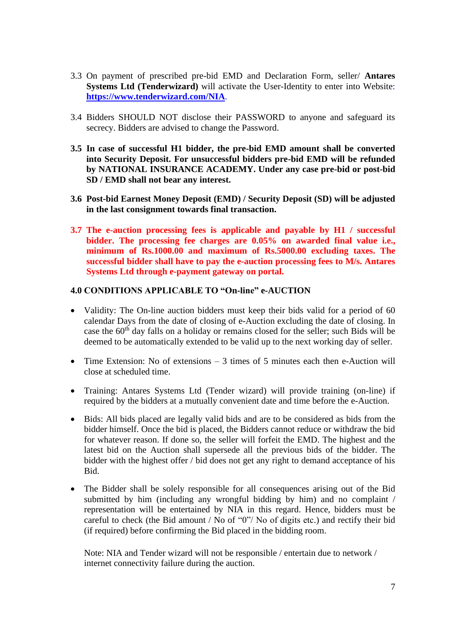- 3.3 On payment of prescribed pre-bid EMD and Declaration Form, seller/ **Antares Systems Ltd (Tenderwizard)** will activate the User-Identity to enter into Website: **<https://www.tenderwizard.com/NIA>**.
- 3.4 Bidders SHOULD NOT disclose their PASSWORD to anyone and safeguard its secrecy. Bidders are advised to change the Password.
- **3.5 In case of successful H1 bidder, the pre-bid EMD amount shall be converted into Security Deposit. For unsuccessful bidders pre-bid EMD will be refunded by NATIONAL INSURANCE ACADEMY. Under any case pre-bid or post-bid SD / EMD shall not bear any interest.**
- **3.6 Post-bid Earnest Money Deposit (EMD) / Security Deposit (SD) will be adjusted in the last consignment towards final transaction.**
- **3.7 The e-auction processing fees is applicable and payable by H1 / successful bidder. The processing fee charges are 0.05% on awarded final value i.e., minimum of Rs.1000.00 and maximum of Rs.5000.00 excluding taxes. The successful bidder shall have to pay the e-auction processing fees to M/s. Antares Systems Ltd through e-payment gateway on portal.**

### **4.0 CONDITIONS APPLICABLE TO "On-line" e-AUCTION**

- Validity: The On-line auction bidders must keep their bids valid for a period of 60 calendar Days from the date of closing of e-Auction excluding the date of closing. In case the 60<sup>th</sup> day falls on a holiday or remains closed for the seller; such Bids will be deemed to be automatically extended to be valid up to the next working day of seller.
- Time Extension: No of extensions 3 times of 5 minutes each then e-Auction will close at scheduled time.
- Training: Antares Systems Ltd (Tender wizard) will provide training (on-line) if required by the bidders at a mutually convenient date and time before the e-Auction.
- Bids: All bids placed are legally valid bids and are to be considered as bids from the bidder himself. Once the bid is placed, the Bidders cannot reduce or withdraw the bid for whatever reason. If done so, the seller will forfeit the EMD. The highest and the latest bid on the Auction shall supersede all the previous bids of the bidder. The bidder with the highest offer / bid does not get any right to demand acceptance of his Bid.
- The Bidder shall be solely responsible for all consequences arising out of the Bid submitted by him (including any wrongful bidding by him) and no complaint / representation will be entertained by NIA in this regard. Hence, bidders must be careful to check (the Bid amount / No of "0"/ No of digits etc.) and rectify their bid (if required) before confirming the Bid placed in the bidding room.

Note: NIA and Tender wizard will not be responsible / entertain due to network / internet connectivity failure during the auction.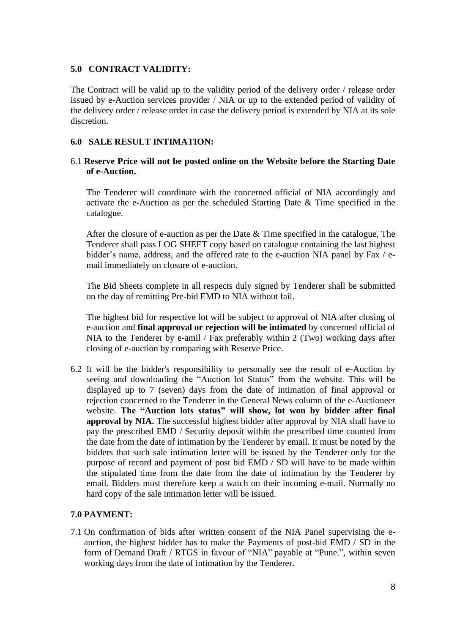### **5.0 CONTRACT VALIDITY:**

The Contract will be valid up to the validity period of the delivery order / release order issued by e-Auction services provider / NIA or up to the extended period of validity of the delivery order / release order in case the delivery period is extended by NIA at its sole discretion.

### **6.0 SALE RESULT INTIMATION:**

### 6.1 **Reserve Price will not be posted online on the Website before the Starting Date of e-Auction.**

The Tenderer will coordinate with the concerned official of NIA accordingly and activate the e-Auction as per the scheduled Starting Date & Time specified in the catalogue.

After the closure of e-auction as per the Date & Time specified in the catalogue, The Tenderer shall pass LOG SHEET copy based on catalogue containing the last highest bidder's name, address, and the offered rate to the e-auction NIA panel by Fax / email immediately on closure of e-auction.

The Bid Sheets complete in all respects duly signed by Tenderer shall be submitted on the day of remitting Pre-bid EMD to NIA without fail.

The highest bid for respective lot will be subject to approval of NIA after closing of e-auction and **final approval or rejection will be intimated** by concerned official of NIA to the Tenderer by e-amil / Fax preferably within 2 (Two) working days after closing of e-auction by comparing with Reserve Price.

6.2 It will be the bidder's responsibility to personally see the result of e-Auction by seeing and downloading the "Auction lot Status" from the website. This will be displayed up to 7 (seven) days from the date of intimation of final approval or rejection concerned to the Tenderer in the General News column of the e-Auctioneer website. **The "Auction lots status" will show, lot won by bidder after final approval by NIA.** The successful highest bidder after approval by NIA shall have to pay the prescribed EMD / Security deposit within the prescribed time counted from the date from the date of intimation by the Tenderer by email. It must be noted by the bidders that such sale intimation letter will be issued by the Tenderer only for the purpose of record and payment of post bid EMD / SD will have to be made within the stipulated time from the date from the date of intimation by the Tenderer by email. Bidders must therefore keep a watch on their incoming e-mail. Normally no hard copy of the sale intimation letter will be issued.

### **7.0 PAYMENT:**

7.1 On confirmation of bids after written consent of the NIA Panel supervising the eauction, the highest bidder has to make the Payments of post-bid EMD / SD in the form of Demand Draft / RTGS in favour of "NIA" payable at "Pune.", within seven working days from the date of intimation by the Tenderer.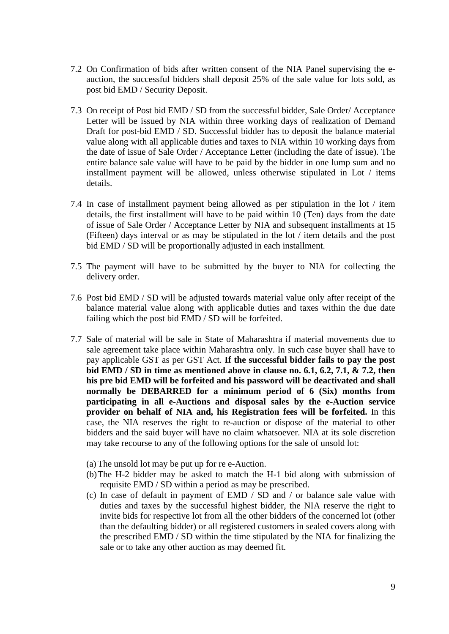- 7.2 On Confirmation of bids after written consent of the NIA Panel supervising the eauction, the successful bidders shall deposit 25% of the sale value for lots sold, as post bid EMD / Security Deposit.
- 7.3 On receipt of Post bid EMD / SD from the successful bidder, Sale Order/ Acceptance Letter will be issued by NIA within three working days of realization of Demand Draft for post-bid EMD / SD. Successful bidder has to deposit the balance material value along with all applicable duties and taxes to NIA within 10 working days from the date of issue of Sale Order / Acceptance Letter (including the date of issue). The entire balance sale value will have to be paid by the bidder in one lump sum and no installment payment will be allowed, unless otherwise stipulated in Lot / items details.
- 7.4 In case of installment payment being allowed as per stipulation in the lot / item details, the first installment will have to be paid within 10 (Ten) days from the date of issue of Sale Order / Acceptance Letter by NIA and subsequent installments at 15 (Fifteen) days interval or as may be stipulated in the lot / item details and the post bid EMD / SD will be proportionally adjusted in each installment.
- 7.5 The payment will have to be submitted by the buyer to NIA for collecting the delivery order.
- 7.6 Post bid EMD / SD will be adjusted towards material value only after receipt of the balance material value along with applicable duties and taxes within the due date failing which the post bid EMD / SD will be forfeited.
- 7.7 Sale of material will be sale in State of Maharashtra if material movements due to sale agreement take place within Maharashtra only. In such case buyer shall have to pay applicable GST as per GST Act. **If the successful bidder fails to pay the post bid EMD / SD in time as mentioned above in clause no. 6.1, 6.2, 7.1, & 7.2, then his pre bid EMD will be forfeited and his password will be deactivated and shall normally be DEBARRED for a minimum period of 6 (Six) months from participating in all e-Auctions and disposal sales by the e-Auction service provider on behalf of NIA and, his Registration fees will be forfeited.** In this case, the NIA reserves the right to re-auction or dispose of the material to other bidders and the said buyer will have no claim whatsoever. NIA at its sole discretion may take recourse to any of the following options for the sale of unsold lot:
	- (a)The unsold lot may be put up for re e-Auction.
	- (b)The H-2 bidder may be asked to match the H-1 bid along with submission of requisite EMD / SD within a period as may be prescribed.
	- (c) In case of default in payment of EMD / SD and / or balance sale value with duties and taxes by the successful highest bidder, the NIA reserve the right to invite bids for respective lot from all the other bidders of the concerned lot (other than the defaulting bidder) or all registered customers in sealed covers along with the prescribed EMD / SD within the time stipulated by the NIA for finalizing the sale or to take any other auction as may deemed fit.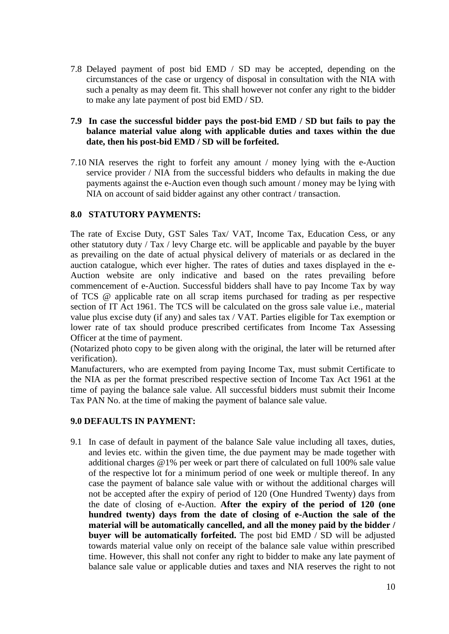7.8 Delayed payment of post bid EMD / SD may be accepted, depending on the circumstances of the case or urgency of disposal in consultation with the NIA with such a penalty as may deem fit. This shall however not confer any right to the bidder to make any late payment of post bid EMD / SD.

### **7.9 In case the successful bidder pays the post-bid EMD / SD but fails to pay the balance material value along with applicable duties and taxes within the due date, then his post-bid EMD / SD will be forfeited.**

7.10 NIA reserves the right to forfeit any amount / money lying with the e-Auction service provider / NIA from the successful bidders who defaults in making the due payments against the e-Auction even though such amount / money may be lying with NIA on account of said bidder against any other contract / transaction.

### **8.0 STATUTORY PAYMENTS:**

The rate of Excise Duty, GST Sales Tax/ VAT, Income Tax, Education Cess, or any other statutory duty / Tax / levy Charge etc. will be applicable and payable by the buyer as prevailing on the date of actual physical delivery of materials or as declared in the auction catalogue, which ever higher. The rates of duties and taxes displayed in the e-Auction website are only indicative and based on the rates prevailing before commencement of e-Auction. Successful bidders shall have to pay Income Tax by way of TCS @ applicable rate on all scrap items purchased for trading as per respective section of IT Act 1961. The TCS will be calculated on the gross sale value i.e., material value plus excise duty (if any) and sales tax / VAT. Parties eligible for Tax exemption or lower rate of tax should produce prescribed certificates from Income Tax Assessing Officer at the time of payment.

(Notarized photo copy to be given along with the original, the later will be returned after verification).

Manufacturers, who are exempted from paying Income Tax, must submit Certificate to the NIA as per the format prescribed respective section of Income Tax Act 1961 at the time of paying the balance sale value. All successful bidders must submit their Income Tax PAN No. at the time of making the payment of balance sale value.

#### **9.0 DEFAULTS IN PAYMENT:**

9.1 In case of default in payment of the balance Sale value including all taxes, duties, and levies etc. within the given time, the due payment may be made together with additional charges @1% per week or part there of calculated on full 100% sale value of the respective lot for a minimum period of one week or multiple thereof. In any case the payment of balance sale value with or without the additional charges will not be accepted after the expiry of period of 120 (One Hundred Twenty) days from the date of closing of e-Auction. **After the expiry of the period of 120 (one hundred twenty) days from the date of closing of e-Auction the sale of the material will be automatically cancelled, and all the money paid by the bidder / buyer will be automatically forfeited.** The post bid EMD / SD will be adjusted towards material value only on receipt of the balance sale value within prescribed time. However, this shall not confer any right to bidder to make any late payment of balance sale value or applicable duties and taxes and NIA reserves the right to not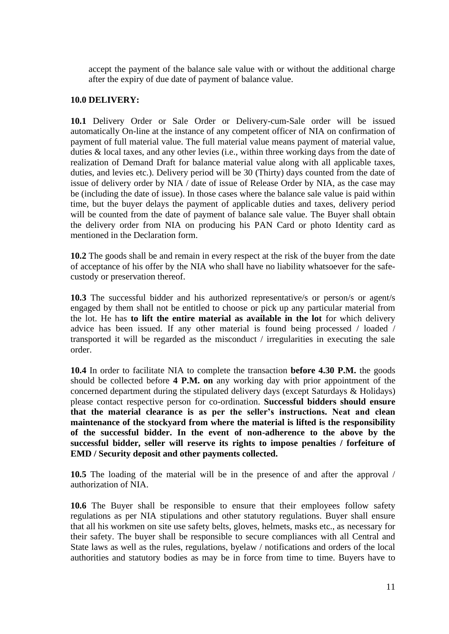accept the payment of the balance sale value with or without the additional charge after the expiry of due date of payment of balance value.

### **10.0 DELIVERY:**

**10.1** Delivery Order or Sale Order or Delivery-cum-Sale order will be issued automatically On-line at the instance of any competent officer of NIA on confirmation of payment of full material value. The full material value means payment of material value, duties & local taxes, and any other levies (i.e., within three working days from the date of realization of Demand Draft for balance material value along with all applicable taxes, duties, and levies etc.). Delivery period will be 30 (Thirty) days counted from the date of issue of delivery order by NIA / date of issue of Release Order by NIA, as the case may be (including the date of issue). In those cases where the balance sale value is paid within time, but the buyer delays the payment of applicable duties and taxes, delivery period will be counted from the date of payment of balance sale value. The Buyer shall obtain the delivery order from NIA on producing his PAN Card or photo Identity card as mentioned in the Declaration form.

**10.2** The goods shall be and remain in every respect at the risk of the buyer from the date of acceptance of his offer by the NIA who shall have no liability whatsoever for the safecustody or preservation thereof.

**10.3** The successful bidder and his authorized representative/s or person/s or agent/s engaged by them shall not be entitled to choose or pick up any particular material from the lot. He has **to lift the entire material as available in the lot** for which delivery advice has been issued. If any other material is found being processed / loaded / transported it will be regarded as the misconduct / irregularities in executing the sale order.

**10.4** In order to facilitate NIA to complete the transaction **before 4.30 P.M.** the goods should be collected before **4 P.M. on** any working day with prior appointment of the concerned department during the stipulated delivery days (except Saturdays & Holidays) please contact respective person for co-ordination. **Successful bidders should ensure that the material clearance is as per the seller's instructions. Neat and clean maintenance of the stockyard from where the material is lifted is the responsibility of the successful bidder. In the event of non-adherence to the above by the successful bidder, seller will reserve its rights to impose penalties / forfeiture of EMD / Security deposit and other payments collected.**

**10.5** The loading of the material will be in the presence of and after the approval / authorization of NIA.

**10.6** The Buyer shall be responsible to ensure that their employees follow safety regulations as per NIA stipulations and other statutory regulations. Buyer shall ensure that all his workmen on site use safety belts, gloves, helmets, masks etc., as necessary for their safety. The buyer shall be responsible to secure compliances with all Central and State laws as well as the rules, regulations, byelaw / notifications and orders of the local authorities and statutory bodies as may be in force from time to time. Buyers have to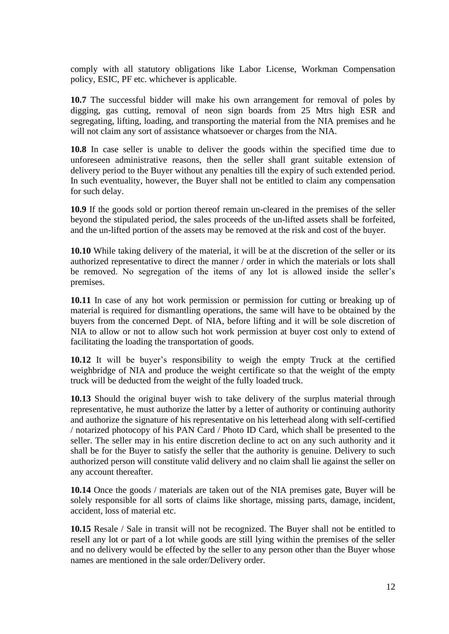comply with all statutory obligations like Labor License, Workman Compensation policy, ESIC, PF etc. whichever is applicable.

**10.7** The successful bidder will make his own arrangement for removal of poles by digging, gas cutting, removal of neon sign boards from 25 Mtrs high ESR and segregating, lifting, loading, and transporting the material from the NIA premises and he will not claim any sort of assistance whatsoever or charges from the NIA.

**10.8** In case seller is unable to deliver the goods within the specified time due to unforeseen administrative reasons, then the seller shall grant suitable extension of delivery period to the Buyer without any penalties till the expiry of such extended period. In such eventuality, however, the Buyer shall not be entitled to claim any compensation for such delay.

**10.9** If the goods sold or portion thereof remain un-cleared in the premises of the seller beyond the stipulated period, the sales proceeds of the un-lifted assets shall be forfeited, and the un-lifted portion of the assets may be removed at the risk and cost of the buyer.

**10.10** While taking delivery of the material, it will be at the discretion of the seller or its authorized representative to direct the manner / order in which the materials or lots shall be removed. No segregation of the items of any lot is allowed inside the seller's premises.

**10.11** In case of any hot work permission or permission for cutting or breaking up of material is required for dismantling operations, the same will have to be obtained by the buyers from the concerned Dept. of NIA, before lifting and it will be sole discretion of NIA to allow or not to allow such hot work permission at buyer cost only to extend of facilitating the loading the transportation of goods.

**10.12** It will be buyer's responsibility to weigh the empty Truck at the certified weighbridge of NIA and produce the weight certificate so that the weight of the empty truck will be deducted from the weight of the fully loaded truck.

**10.13** Should the original buyer wish to take delivery of the surplus material through representative, he must authorize the latter by a letter of authority or continuing authority and authorize the signature of his representative on his letterhead along with self-certified / notarized photocopy of his PAN Card / Photo ID Card, which shall be presented to the seller. The seller may in his entire discretion decline to act on any such authority and it shall be for the Buyer to satisfy the seller that the authority is genuine. Delivery to such authorized person will constitute valid delivery and no claim shall lie against the seller on any account thereafter.

**10.14** Once the goods / materials are taken out of the NIA premises gate, Buyer will be solely responsible for all sorts of claims like shortage, missing parts, damage, incident, accident, loss of material etc.

**10.15** Resale / Sale in transit will not be recognized. The Buyer shall not be entitled to resell any lot or part of a lot while goods are still lying within the premises of the seller and no delivery would be effected by the seller to any person other than the Buyer whose names are mentioned in the sale order/Delivery order.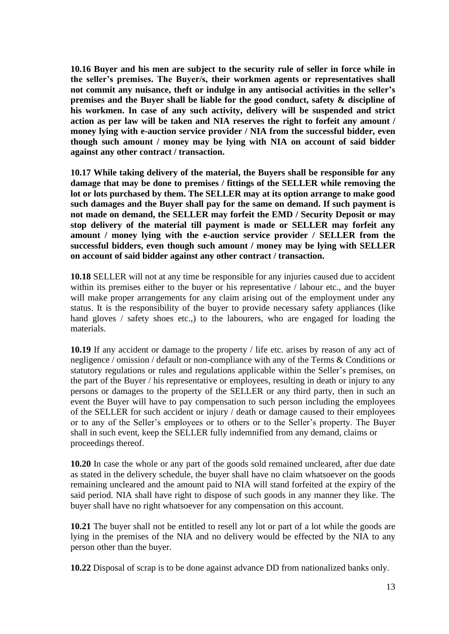**10.16 Buyer and his men are subject to the security rule of seller in force while in the seller's premises. The Buyer/s, their workmen agents or representatives shall not commit any nuisance, theft or indulge in any antisocial activities in the seller's premises and the Buyer shall be liable for the good conduct, safety & discipline of his workmen. In case of any such activity, delivery will be suspended and strict action as per law will be taken and NIA reserves the right to forfeit any amount / money lying with e-auction service provider / NIA from the successful bidder, even though such amount / money may be lying with NIA on account of said bidder against any other contract / transaction.** 

**10.17 While taking delivery of the material, the Buyers shall be responsible for any damage that may be done to premises / fittings of the SELLER while removing the lot or lots purchased by them. The SELLER may at its option arrange to make good such damages and the Buyer shall pay for the same on demand. If such payment is not made on demand, the SELLER may forfeit the EMD / Security Deposit or may stop delivery of the material till payment is made or SELLER may forfeit any amount / money lying with the e-auction service provider / SELLER from the successful bidders, even though such amount / money may be lying with SELLER on account of said bidder against any other contract / transaction.** 

**10.18** SELLER will not at any time be responsible for any injuries caused due to accident within its premises either to the buyer or his representative / labour etc., and the buyer will make proper arrangements for any claim arising out of the employment under any status. It is the responsibility of the buyer to provide necessary safety appliances (like hand gloves / safety shoes etc..) to the labourers, who are engaged for loading the materials.

**10.19** If any accident or damage to the property / life etc. arises by reason of any act of negligence / omission / default or non-compliance with any of the Terms & Conditions or statutory regulations or rules and regulations applicable within the Seller's premises, on the part of the Buyer / his representative or employees, resulting in death or injury to any persons or damages to the property of the SELLER or any third party, then in such an event the Buyer will have to pay compensation to such person including the employees of the SELLER for such accident or injury / death or damage caused to their employees or to any of the Seller's employees or to others or to the Seller's property. The Buyer shall in such event, keep the SELLER fully indemnified from any demand, claims or proceedings thereof.

**10.20** In case the whole or any part of the goods sold remained uncleared, after due date as stated in the delivery schedule, the buyer shall have no claim whatsoever on the goods remaining uncleared and the amount paid to NIA will stand forfeited at the expiry of the said period. NIA shall have right to dispose of such goods in any manner they like. The buyer shall have no right whatsoever for any compensation on this account.

**10.21** The buyer shall not be entitled to resell any lot or part of a lot while the goods are lying in the premises of the NIA and no delivery would be effected by the NIA to any person other than the buyer.

**10.22** Disposal of scrap is to be done against advance DD from nationalized banks only.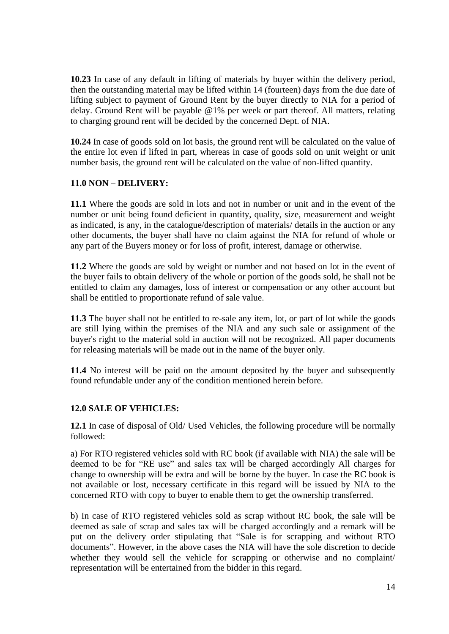**10.23** In case of any default in lifting of materials by buyer within the delivery period, then the outstanding material may be lifted within 14 (fourteen) days from the due date of lifting subject to payment of Ground Rent by the buyer directly to NIA for a period of delay. Ground Rent will be payable @1% per week or part thereof. All matters, relating to charging ground rent will be decided by the concerned Dept. of NIA.

**10.24** In case of goods sold on lot basis, the ground rent will be calculated on the value of the entire lot even if lifted in part, whereas in case of goods sold on unit weight or unit number basis, the ground rent will be calculated on the value of non-lifted quantity.

### **11.0 NON – DELIVERY:**

**11.1** Where the goods are sold in lots and not in number or unit and in the event of the number or unit being found deficient in quantity, quality, size, measurement and weight as indicated, is any, in the catalogue/description of materials/ details in the auction or any other documents, the buyer shall have no claim against the NIA for refund of whole or any part of the Buyers money or for loss of profit, interest, damage or otherwise.

**11.2** Where the goods are sold by weight or number and not based on lot in the event of the buyer fails to obtain delivery of the whole or portion of the goods sold, he shall not be entitled to claim any damages, loss of interest or compensation or any other account but shall be entitled to proportionate refund of sale value.

**11.3** The buyer shall not be entitled to re-sale any item, lot, or part of lot while the goods are still lying within the premises of the NIA and any such sale or assignment of the buyer's right to the material sold in auction will not be recognized. All paper documents for releasing materials will be made out in the name of the buyer only.

**11.4** No interest will be paid on the amount deposited by the buyer and subsequently found refundable under any of the condition mentioned herein before.

## **12.0 SALE OF VEHICLES:**

**12.1** In case of disposal of Old/ Used Vehicles, the following procedure will be normally followed:

a) For RTO registered vehicles sold with RC book (if available with NIA) the sale will be deemed to be for "RE use" and sales tax will be charged accordingly All charges for change to ownership will be extra and will be borne by the buyer. In case the RC book is not available or lost, necessary certificate in this regard will be issued by NIA to the concerned RTO with copy to buyer to enable them to get the ownership transferred.

b) In case of RTO registered vehicles sold as scrap without RC book, the sale will be deemed as sale of scrap and sales tax will be charged accordingly and a remark will be put on the delivery order stipulating that "Sale is for scrapping and without RTO documents". However, in the above cases the NIA will have the sole discretion to decide whether they would sell the vehicle for scrapping or otherwise and no complaint/ representation will be entertained from the bidder in this regard.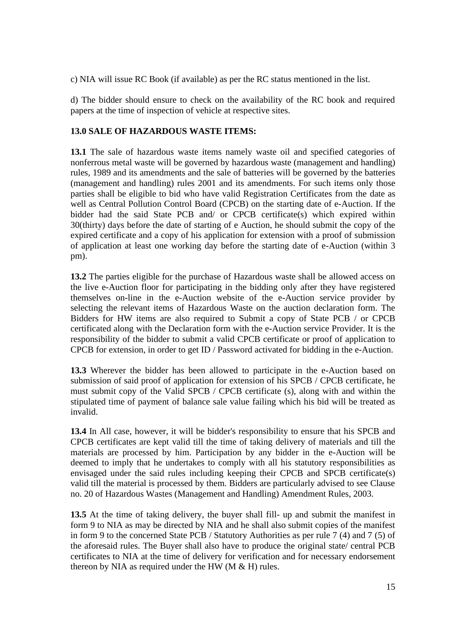c) NIA will issue RC Book (if available) as per the RC status mentioned in the list.

d) The bidder should ensure to check on the availability of the RC book and required papers at the time of inspection of vehicle at respective sites.

### **13.0 SALE OF HAZARDOUS WASTE ITEMS:**

**13.1** The sale of hazardous waste items namely waste oil and specified categories of nonferrous metal waste will be governed by hazardous waste (management and handling) rules, 1989 and its amendments and the sale of batteries will be governed by the batteries (management and handling) rules 2001 and its amendments. For such items only those parties shall be eligible to bid who have valid Registration Certificates from the date as well as Central Pollution Control Board (CPCB) on the starting date of e-Auction. If the bidder had the said State PCB and/ or CPCB certificate(s) which expired within 30(thirty) days before the date of starting of e Auction, he should submit the copy of the expired certificate and a copy of his application for extension with a proof of submission of application at least one working day before the starting date of e-Auction (within 3 pm).

**13.2** The parties eligible for the purchase of Hazardous waste shall be allowed access on the live e-Auction floor for participating in the bidding only after they have registered themselves on-line in the e-Auction website of the e-Auction service provider by selecting the relevant items of Hazardous Waste on the auction declaration form. The Bidders for HW items are also required to Submit a copy of State PCB / or CPCB certificated along with the Declaration form with the e-Auction service Provider. It is the responsibility of the bidder to submit a valid CPCB certificate or proof of application to CPCB for extension, in order to get ID / Password activated for bidding in the e-Auction.

**13.3** Wherever the bidder has been allowed to participate in the e-Auction based on submission of said proof of application for extension of his SPCB / CPCB certificate, he must submit copy of the Valid SPCB / CPCB certificate (s), along with and within the stipulated time of payment of balance sale value failing which his bid will be treated as invalid.

**13.4** In All case, however, it will be bidder's responsibility to ensure that his SPCB and CPCB certificates are kept valid till the time of taking delivery of materials and till the materials are processed by him. Participation by any bidder in the e-Auction will be deemed to imply that he undertakes to comply with all his statutory responsibilities as envisaged under the said rules including keeping their CPCB and SPCB certificate(s) valid till the material is processed by them. Bidders are particularly advised to see Clause no. 20 of Hazardous Wastes (Management and Handling) Amendment Rules, 2003.

**13.5** At the time of taking delivery, the buyer shall fill- up and submit the manifest in form 9 to NIA as may be directed by NIA and he shall also submit copies of the manifest in form 9 to the concerned State PCB / Statutory Authorities as per rule 7 (4) and 7 (5) of the aforesaid rules. The Buyer shall also have to produce the original state/ central PCB certificates to NIA at the time of delivery for verification and for necessary endorsement thereon by NIA as required under the HW ( $M \& H$ ) rules.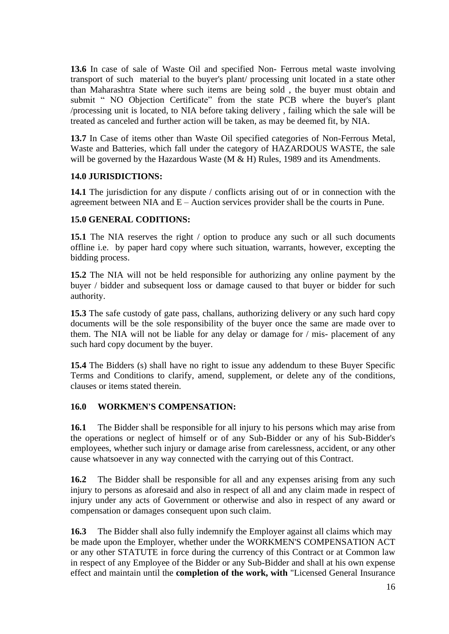**13.6** In case of sale of Waste Oil and specified Non- Ferrous metal waste involving transport of such material to the buyer's plant/ processing unit located in a state other than Maharashtra State where such items are being sold , the buyer must obtain and submit " NO Objection Certificate" from the state PCB where the buyer's plant /processing unit is located, to NIA before taking delivery , failing which the sale will be treated as canceled and further action will be taken, as may be deemed fit, by NIA.

**13.7** In Case of items other than Waste Oil specified categories of Non-Ferrous Metal, Waste and Batteries, which fall under the category of HAZARDOUS WASTE, the sale will be governed by the Hazardous Waste (M & H) Rules, 1989 and its Amendments.

### **14.0 JURISDICTIONS:**

**14.1** The jurisdiction for any dispute / conflicts arising out of or in connection with the agreement between NIA and  $E -$  Auction services provider shall be the courts in Pune.

### **15.0 GENERAL CODITIONS:**

**15.1** The NIA reserves the right / option to produce any such or all such documents offline i.e. by paper hard copy where such situation, warrants, however, excepting the bidding process.

**15.2** The NIA will not be held responsible for authorizing any online payment by the buyer / bidder and subsequent loss or damage caused to that buyer or bidder for such authority.

**15.3** The safe custody of gate pass, challans, authorizing delivery or any such hard copy documents will be the sole responsibility of the buyer once the same are made over to them. The NIA will not be liable for any delay or damage for / mis- placement of any such hard copy document by the buyer.

**15.4** The Bidders (s) shall have no right to issue any addendum to these Buyer Specific Terms and Conditions to clarify, amend, supplement, or delete any of the conditions, clauses or items stated therein.

## **16.0 WORKMEN'S COMPENSATION:**

**16.1** The Bidder shall be responsible for all injury to his persons which may arise from the operations or neglect of himself or of any Sub-Bidder or any of his Sub-Bidder's employees, whether such injury or damage arise from carelessness, accident, or any other cause whatsoever in any way connected with the carrying out of this Contract.

**16.2** The Bidder shall be responsible for all and any expenses arising from any such injury to persons as aforesaid and also in respect of all and any claim made in respect of injury under any acts of Government or otherwise and also in respect of any award or compensation or damages consequent upon such claim.

**16.3** The Bidder shall also fully indemnify the Employer against all claims which may be made upon the Employer, whether under the WORKMEN'S COMPENSATION ACT or any other STATUTE in force during the currency of this Contract or at Common law in respect of any Employee of the Bidder or any Sub-Bidder and shall at his own expense effect and maintain until the **completion of the work, with** "Licensed General Insurance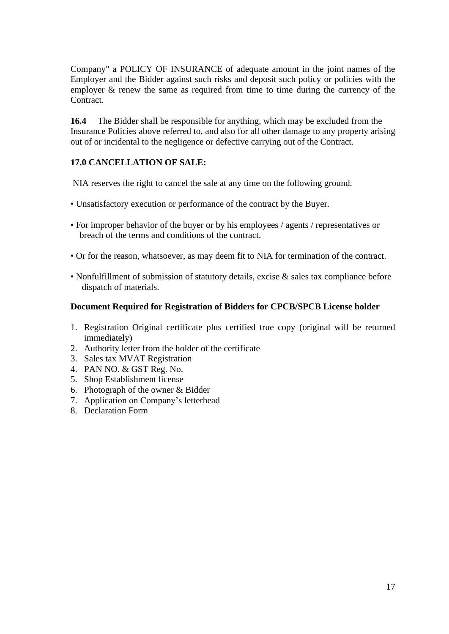Company" a POLICY OF INSURANCE of adequate amount in the joint names of the Employer and the Bidder against such risks and deposit such policy or policies with the employer & renew the same as required from time to time during the currency of the Contract.

**16.4** The Bidder shall be responsible for anything, which may be excluded from the Insurance Policies above referred to, and also for all other damage to any property arising out of or incidental to the negligence or defective carrying out of the Contract.

### **17.0 CANCELLATION OF SALE:**

NIA reserves the right to cancel the sale at any time on the following ground.

- Unsatisfactory execution or performance of the contract by the Buyer.
- For improper behavior of the buyer or by his employees / agents / representatives or breach of the terms and conditions of the contract.
- Or for the reason, whatsoever, as may deem fit to NIA for termination of the contract.
- Nonfulfillment of submission of statutory details, excise & sales tax compliance before dispatch of materials.

#### **Document Required for Registration of Bidders for CPCB/SPCB License holder**

- 1. Registration Original certificate plus certified true copy (original will be returned immediately)
- 2. Authority letter from the holder of the certificate
- 3. Sales tax MVAT Registration
- 4. PAN NO. & GST Reg. No.
- 5. Shop Establishment license
- 6. Photograph of the owner & Bidder
- 7. Application on Company's letterhead
- 8. Declaration Form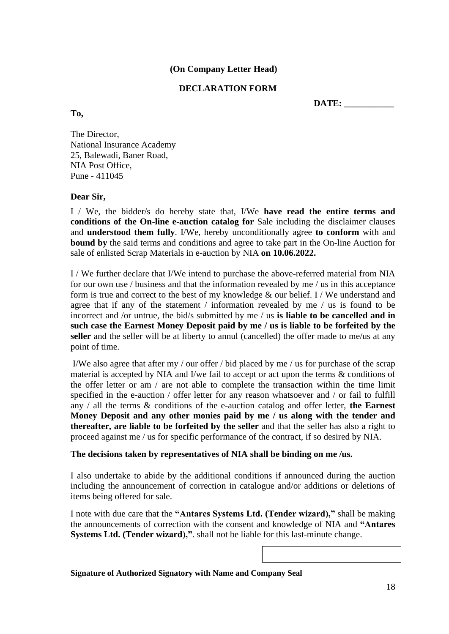### **(On Company Letter Head)**

### **DECLARATION FORM**

 **DATE: \_\_\_\_\_\_\_\_\_\_\_**

**To,**

The Director, National Insurance Academy 25, Balewadi, Baner Road, NIA Post Office, Pune - 411045

#### **Dear Sir,**

I / We, the bidder/s do hereby state that, I/We **have read the entire terms and conditions of the On-line e-auction catalog for** Sale including the disclaimer clauses and **understood them fully**. I/We, hereby unconditionally agree **to conform** with and **bound by** the said terms and conditions and agree to take part in the On-line Auction for sale of enlisted Scrap Materials in e-auction by NIA **on 10.06.2022.**

I / We further declare that I/We intend to purchase the above-referred material from NIA for our own use / business and that the information revealed by me / us in this acceptance form is true and correct to the best of my knowledge & our belief. I / We understand and agree that if any of the statement / information revealed by me / us is found to be incorrect and /or untrue, the bid/s submitted by me / us **is liable to be cancelled and in such case the Earnest Money Deposit paid by me / us is liable to be forfeited by the**  seller and the seller will be at liberty to annul (cancelled) the offer made to me/us at any point of time.

I/We also agree that after my / our offer / bid placed by me / us for purchase of the scrap material is accepted by NIA and I/we fail to accept or act upon the terms & conditions of the offer letter or am / are not able to complete the transaction within the time limit specified in the e-auction / offer letter for any reason whatsoever and / or fail to fulfill any / all the terms & conditions of the e-auction catalog and offer letter, **the Earnest Money Deposit and any other monies paid by me / us along with the tender and thereafter, are liable to be forfeited by the seller** and that the seller has also a right to proceed against me / us for specific performance of the contract, if so desired by NIA.

#### **The decisions taken by representatives of NIA shall be binding on me /us.**

I also undertake to abide by the additional conditions if announced during the auction including the announcement of correction in catalogue and/or additions or deletions of items being offered for sale.

I note with due care that the **"Antares Systems Ltd. (Tender wizard),"** shall be making the announcements of correction with the consent and knowledge of NIA and **"Antares Systems Ltd. (Tender wizard),"**. shall not be liable for this last-minute change.

**Signature of Authorized Signatory with Name and Company Seal**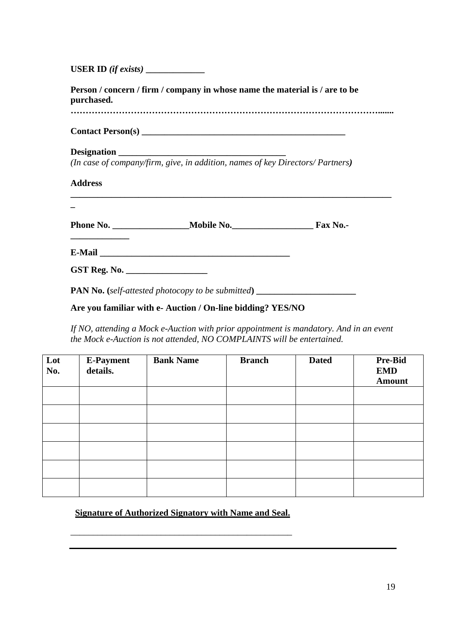**USER ID** *(if exists)* **\_\_\_\_\_\_\_\_\_\_\_\_\_**

**Person / concern / firm / company in whose name the material is / are to be purchased. ………………………………………………………………………………………….......**

**\_\_\_\_\_\_\_\_\_\_\_\_\_\_\_\_\_\_\_\_\_\_\_\_\_\_\_\_\_\_\_\_\_\_\_\_\_\_\_\_\_\_\_\_\_\_\_\_\_\_\_\_\_\_\_\_\_\_\_\_\_\_\_\_\_\_\_\_\_\_\_**

**Contact Person(s) \_\_\_\_\_\_\_\_\_\_\_\_\_\_\_\_\_\_\_\_\_\_\_\_\_\_\_\_\_\_\_\_\_\_\_\_\_\_\_\_\_\_\_\_\_**

#### **Designation \_\_\_\_\_\_\_\_\_\_\_\_\_\_\_\_\_\_\_\_\_\_\_\_\_\_\_\_\_\_\_\_\_\_\_\_\_**

**\_\_\_\_\_\_\_\_\_\_\_\_\_**

*(In case of company/firm, give, in addition, names of key Directors/ Partners)*

### **Address**

**\_**

| Phone No. | Mobile No. | Fax No.- |
|-----------|------------|----------|
|-----------|------------|----------|

**E-Mail** 

**GST Reg. No. \_\_\_\_\_\_\_\_\_\_\_\_\_\_\_\_\_\_**

**PAN No. (***self-attested photocopy to be submitted***) \_\_\_\_\_\_\_\_\_\_\_\_\_\_\_\_\_\_\_\_\_\_**

### **Are you familiar with e- Auction / On-line bidding? YES/NO**

*If NO, attending a Mock e-Auction with prior appointment is mandatory. And in an event the Mock e-Auction is not attended, NO COMPLAINTS will be entertained.*

| Lot<br>No. | <b>E-Payment</b><br>details. | <b>Bank Name</b> | <b>Branch</b> | <b>Dated</b> | <b>Pre-Bid</b><br><b>EMD</b><br><b>Amount</b> |
|------------|------------------------------|------------------|---------------|--------------|-----------------------------------------------|
|            |                              |                  |               |              |                                               |
|            |                              |                  |               |              |                                               |
|            |                              |                  |               |              |                                               |
|            |                              |                  |               |              |                                               |
|            |                              |                  |               |              |                                               |
|            |                              |                  |               |              |                                               |

**Signature of Authorized Signatory with Name and Seal.**

\_\_\_\_\_\_\_\_\_\_\_\_\_\_\_\_\_\_\_\_\_\_\_\_\_\_\_\_\_\_\_\_\_\_\_\_\_\_\_\_\_\_\_\_\_\_\_\_\_